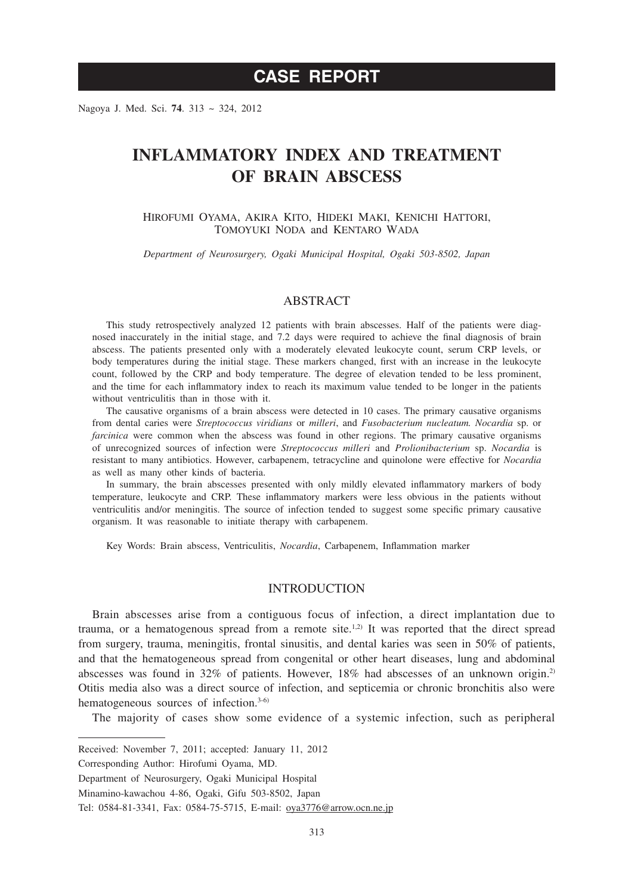# **CASE REPORT**

Nagoya J. Med. Sci. **74**. 313 ~ 324, 2012

# **INFLAMMATORY INDEX AND TREATMENT OF BRAIN ABSCESS**

HIROFUMI OYAMA, AKIRA KITO, HIDEKI MAKI, KENICHI HATTORI, TOMOYUKI NODA and KENTARO WADA

*Department of Neurosurgery, Ogaki Municipal Hospital, Ogaki 503-8502, Japan*

## ABSTRACT

This study retrospectively analyzed 12 patients with brain abscesses. Half of the patients were diagnosed inaccurately in the initial stage, and 7.2 days were required to achieve the final diagnosis of brain abscess. The patients presented only with a moderately elevated leukocyte count, serum CRP levels, or body temperatures during the initial stage. These markers changed, first with an increase in the leukocyte count, followed by the CRP and body temperature. The degree of elevation tended to be less prominent, and the time for each inflammatory index to reach its maximum value tended to be longer in the patients without ventriculitis than in those with it.

The causative organisms of a brain abscess were detected in 10 cases. The primary causative organisms from dental caries were *Streptococcus viridians* or *milleri*, and *Fusobacterium nucleatum. Nocardia* sp. or *farcinica* were common when the abscess was found in other regions. The primary causative organisms of unrecognized sources of infection were *Streptococcus milleri* and *Prolionibacterium* sp. *Nocardia* is resistant to many antibiotics. However, carbapenem, tetracycline and quinolone were effective for *Nocardia* as well as many other kinds of bacteria.

In summary, the brain abscesses presented with only mildly elevated inflammatory markers of body temperature, leukocyte and CRP. These inflammatory markers were less obvious in the patients without ventriculitis and/or meningitis. The source of infection tended to suggest some specific primary causative organism. It was reasonable to initiate therapy with carbapenem.

Key Words: Brain abscess, Ventriculitis, *Nocardia*, Carbapenem, Inflammation marker

## **INTRODUCTION**

Brain abscesses arise from a contiguous focus of infection, a direct implantation due to trauma, or a hematogenous spread from a remote site.<sup>1,2)</sup> It was reported that the direct spread from surgery, trauma, meningitis, frontal sinusitis, and dental karies was seen in 50% of patients, and that the hematogeneous spread from congenital or other heart diseases, lung and abdominal abscesses was found in 32% of patients. However, 18% had abscesses of an unknown origin.2) Otitis media also was a direct source of infection, and septicemia or chronic bronchitis also were hematogeneous sources of infection.<sup>3-6)</sup>

The majority of cases show some evidence of a systemic infection, such as peripheral

Corresponding Author: Hirofumi Oyama, MD.

Received: November 7, 2011; accepted: January 11, 2012

Department of Neurosurgery, Ogaki Municipal Hospital

Minamino-kawachou 4-86, Ogaki, Gifu 503-8502, Japan

Tel: 0584-81-3341, Fax: 0584-75-5715, E-mail: oya3776@arrow.ocn.ne.jp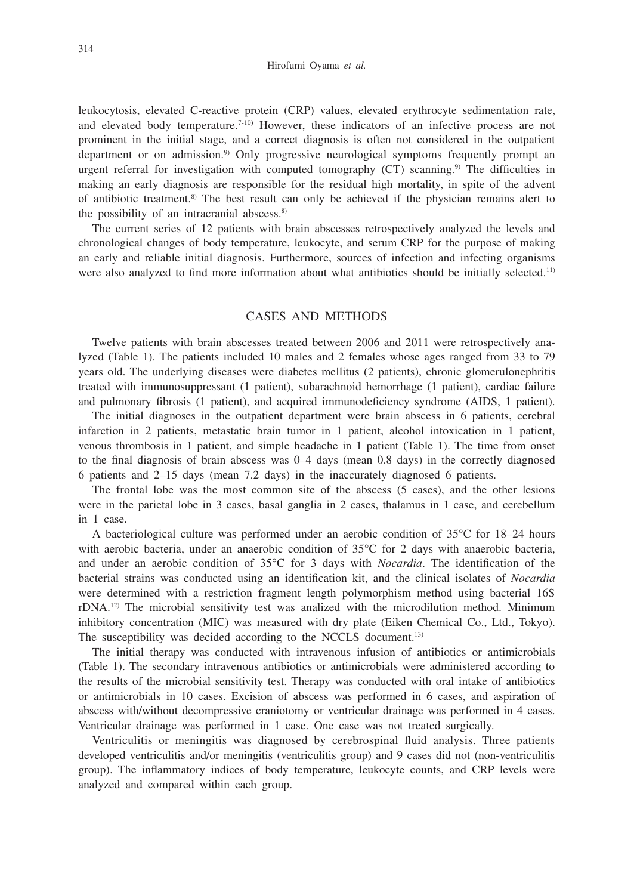Hirofumi Oyama *et al.*

leukocytosis, elevated C-reactive protein (CRP) values, elevated erythrocyte sedimentation rate, and elevated body temperature.<sup>7-10)</sup> However, these indicators of an infective process are not prominent in the initial stage, and a correct diagnosis is often not considered in the outpatient department or on admission.<sup>9)</sup> Only progressive neurological symptoms frequently prompt an urgent referral for investigation with computed tomography  $(CT)$  scanning.<sup>9)</sup> The difficulties in making an early diagnosis are responsible for the residual high mortality, in spite of the advent of antibiotic treatment.8) The best result can only be achieved if the physician remains alert to the possibility of an intracranial abscess.<sup>8)</sup>

The current series of 12 patients with brain abscesses retrospectively analyzed the levels and chronological changes of body temperature, leukocyte, and serum CRP for the purpose of making an early and reliable initial diagnosis. Furthermore, sources of infection and infecting organisms were also analyzed to find more information about what antibiotics should be initially selected.<sup>11)</sup>

## CASES AND METHODS

Twelve patients with brain abscesses treated between 2006 and 2011 were retrospectively analyzed (Table 1). The patients included 10 males and 2 females whose ages ranged from 33 to 79 years old. The underlying diseases were diabetes mellitus (2 patients), chronic glomerulonephritis treated with immunosuppressant (1 patient), subarachnoid hemorrhage (1 patient), cardiac failure and pulmonary fibrosis (1 patient), and acquired immunodeficiency syndrome (AIDS, 1 patient).

The initial diagnoses in the outpatient department were brain abscess in 6 patients, cerebral infarction in 2 patients, metastatic brain tumor in 1 patient, alcohol intoxication in 1 patient, venous thrombosis in 1 patient, and simple headache in 1 patient (Table 1). The time from onset to the final diagnosis of brain abscess was 0–4 days (mean 0.8 days) in the correctly diagnosed 6 patients and 2–15 days (mean 7.2 days) in the inaccurately diagnosed 6 patients.

The frontal lobe was the most common site of the abscess (5 cases), and the other lesions were in the parietal lobe in 3 cases, basal ganglia in 2 cases, thalamus in 1 case, and cerebellum in 1 case.

A bacteriological culture was performed under an aerobic condition of 35°C for 18–24 hours with aerobic bacteria, under an anaerobic condition of 35<sup>o</sup>C for 2 days with anaerobic bacteria, and under an aerobic condition of 35°C for 3 days with *Nocardia*. The identification of the bacterial strains was conducted using an identification kit, and the clinical isolates of *Nocardia* were determined with a restriction fragment length polymorphism method using bacterial 16S  $rDNA<sup>12</sup>$  The microbial sensitivity test was analized with the microdilution method. Minimum inhibitory concentration (MIC) was measured with dry plate (Eiken Chemical Co., Ltd., Tokyo). The susceptibility was decided according to the NCCLS document.<sup>13)</sup>

The initial therapy was conducted with intravenous infusion of antibiotics or antimicrobials (Table 1). The secondary intravenous antibiotics or antimicrobials were administered according to the results of the microbial sensitivity test. Therapy was conducted with oral intake of antibiotics or antimicrobials in 10 cases. Excision of abscess was performed in 6 cases, and aspiration of abscess with/without decompressive craniotomy or ventricular drainage was performed in 4 cases. Ventricular drainage was performed in 1 case. One case was not treated surgically.

Ventriculitis or meningitis was diagnosed by cerebrospinal fluid analysis. Three patients developed ventriculitis and/or meningitis (ventriculitis group) and 9 cases did not (non-ventriculitis group). The inflammatory indices of body temperature, leukocyte counts, and CRP levels were analyzed and compared within each group.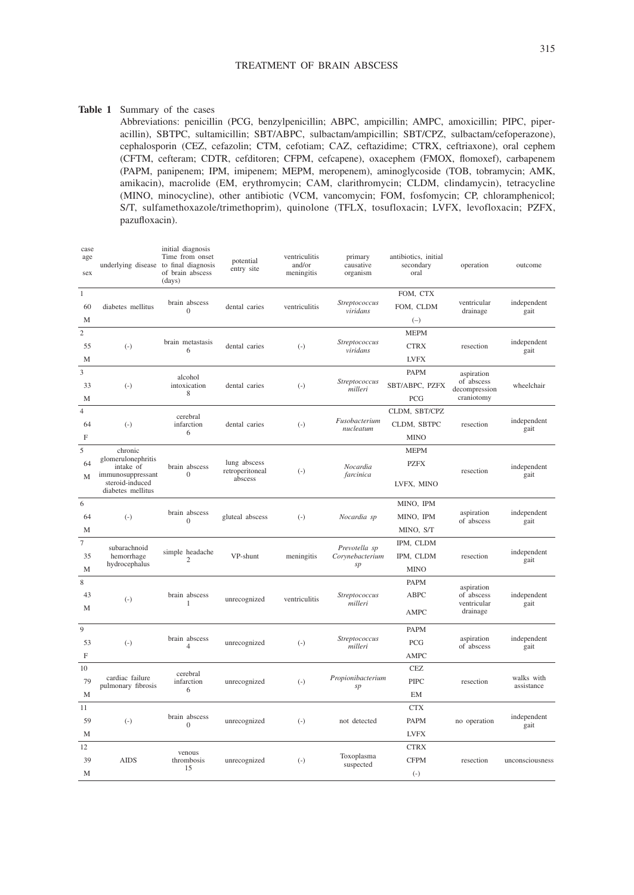## TREATMENT OF BRAIN ABSCESS

#### **Table 1** Summary of the cases

Abbreviations: penicillin (PCG, benzylpenicillin; ABPC, ampicillin; AMPC, amoxicillin; PIPC, piperacillin), SBTPC, sultamicillin; SBT/ABPC, sulbactam/ampicillin; SBT/CPZ, sulbactam/cefoperazone), cephalosporin (CEZ, cefazolin; CTM, cefotiam; CAZ, ceftazidime; CTRX, ceftriaxone), oral cephem (CFTM, cefteram; CDTR, cefditoren; CFPM, cefcapene), oxacephem (FMOX, flomoxef), carbapenem (PAPM, panipenem; IPM, imipenem; MEPM, meropenem), aminoglycoside (TOB, tobramycin; AMK, amikacin), macrolide (EM, erythromycin; CAM, clarithromycin; CLDM, clindamycin), tetracycline (MINO, minocycline), other antibiotic (VCM, vancomycin; FOM, fosfomycin; CP, chloramphenicol; S/T, sulfamethoxazole/trimethoprim), quinolone (TFLX, tosufloxacin; LVFX, levofloxacin; PZFX, pazufloxacin).

| case<br>age<br>sex                 | underlying disease to final diagnosis                                                                   | initial diagnosis<br>Time from onset<br>of brain abscess<br>(days) | potential<br>entry site                    | ventriculitis<br>and/or<br>meningitis | primary<br>causative<br>organism       | antibiotics, initial<br>secondary<br>oral   | operation                                               | outcome                  |
|------------------------------------|---------------------------------------------------------------------------------------------------------|--------------------------------------------------------------------|--------------------------------------------|---------------------------------------|----------------------------------------|---------------------------------------------|---------------------------------------------------------|--------------------------|
| $\mathbf{1}$<br>60<br>M            | diabetes mellitus                                                                                       | brain abscess<br>$\mathbf{0}$                                      | dental caries                              | ventriculitis                         | Streptococcus<br>viridans              | FOM, CTX<br>FOM, CLDM<br>$(-)$              | ventricular<br>drainage                                 | independent<br>gait      |
| $\overline{c}$<br>55<br>М          | $(-)$                                                                                                   | brain metastasis<br>6                                              | dental caries                              | $(-)$                                 | Streptococcus<br>viridans              | <b>MEPM</b><br><b>CTRX</b><br><b>LVFX</b>   | resection                                               | independent<br>gait      |
| $\overline{\mathbf{3}}$<br>33<br>M | $(-)$                                                                                                   | alcohol<br>intoxication<br>8                                       | dental caries                              | $(-)$                                 | Streptococcus<br>milleri               | <b>PAPM</b><br>SBT/ABPC, PZFX<br>PCG        | aspiration<br>of abscess<br>decompression<br>craniotomy | wheelchair               |
| 4<br>64<br>F                       | $(-)$                                                                                                   | cerebral<br>infarction<br>6                                        | dental caries                              | $(-)$                                 | Fusobacterium<br>nucleatum             | CLDM, SBT/CPZ<br>CLDM, SBTPC<br><b>MINO</b> | resection                                               | independent<br>gait      |
| 5<br>64<br>M                       | chronic<br>glomerulonephritis<br>intake of<br>immunosuppressant<br>steroid-induced<br>diabetes mellitus | brain abscess<br>$\mathbf{0}$                                      | lung abscess<br>retroperitoneal<br>abscess | $(-)$                                 | Nocardia<br>farcinica                  | <b>MEPM</b><br><b>PZFX</b><br>LVFX, MINO    | resection                                               | independent<br>gait      |
| 6<br>64<br>M                       | $(-)$                                                                                                   | brain abscess<br>$\Omega$                                          | gluteal abscess                            | $(-)$                                 | Nocardia sp                            | MINO, IPM<br>MINO, IPM<br>MINO, S/T         | aspiration<br>of abscess                                | independent<br>gait      |
| $\overline{7}$<br>35<br>М          | subarachnoid<br>hemorrhage<br>hydrocephalus                                                             | simple headache<br>$\overline{c}$                                  | VP-shunt                                   | meningitis                            | Prevotella sp<br>Corynebacterium<br>sp | IPM, CLDM<br>IPM, CLDM<br><b>MINO</b>       | resection                                               | independent<br>gait      |
| 8<br>43<br>M                       | $(-)$                                                                                                   | brain abscess<br>$\mathbf{1}$                                      | unrecognized                               | ventriculitis                         | Streptococcus<br>milleri               | <b>PAPM</b><br>ABPC<br>AMPC                 | aspiration<br>of abscess<br>ventricular<br>drainage     | independent<br>gait      |
| 9<br>53<br>F                       | $(-)$                                                                                                   | brain abscess<br>$\overline{4}$                                    | unrecognized                               | $(-)$                                 | Streptococcus<br>milleri               | <b>PAPM</b><br>PCG<br><b>AMPC</b>           | aspiration<br>of abscess                                | independent<br>gait      |
| 10<br>79<br>М                      | cardiac failure<br>pulmonary fibrosis                                                                   | cerebral<br>infarction<br>6                                        | unrecognized                               | $(-)$                                 | Propionibacterium<br>sp                | <b>CEZ</b><br><b>PIPC</b><br><b>EM</b>      | resection                                               | walks with<br>assistance |
| 11<br>59<br>M                      | $(-)$                                                                                                   | brain abscess<br>$\bf{0}$                                          | unrecognized                               | $(-)$                                 | not detected                           | <b>CTX</b><br><b>PAPM</b><br><b>LVFX</b>    | no operation                                            | independent<br>gait      |
| 12<br>39<br>M                      | <b>AIDS</b>                                                                                             | venous<br>thrombosis<br>15                                         | unrecognized                               | $(-)$                                 | Toxoplasma<br>suspected                | <b>CTRX</b><br><b>CFPM</b><br>$(-)$         | resection                                               | unconsciousness          |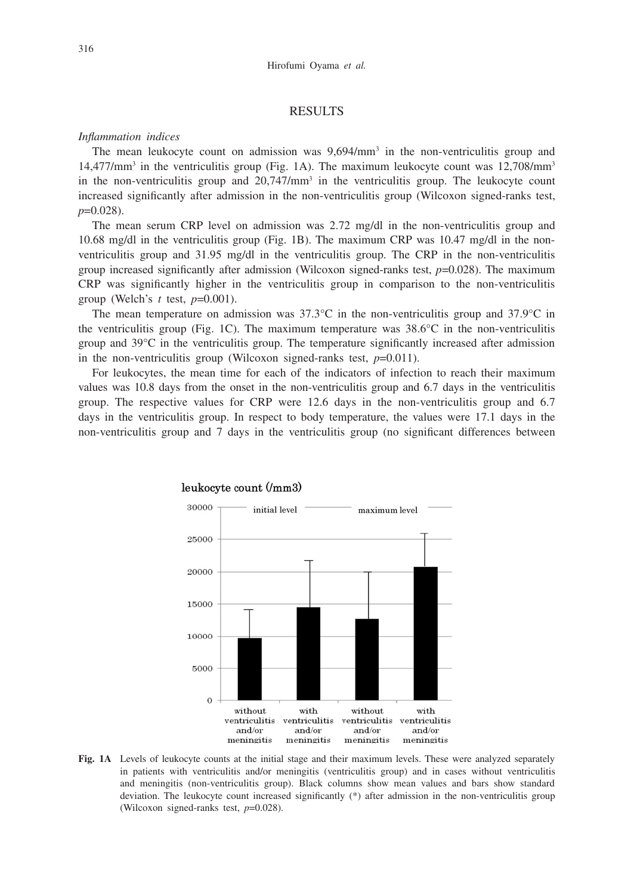## **RESULTS**

## *Inflammation indices*

The mean leukocyte count on admission was  $9.694/\text{mm}^3$  in the non-ventriculitis group and  $14,477/\text{mm}^3$  in the ventriculitis group (Fig. 1A). The maximum leukocyte count was  $12,708/\text{mm}^3$ in the non-ventriculitis group and  $20,747/\text{mm}^3$  in the ventriculitis group. The leukocyte count increased significantly after admission in the non-ventriculitis group (Wilcoxon signed-ranks test, *p*=0.028).

The mean serum CRP level on admission was 2.72 mg/dl in the non-ventriculitis group and 10.68 mg/dl in the ventriculitis group (Fig. 1B). The maximum CRP was 10.47 mg/dl in the nonventriculitis group and  $31.95 \text{ mg/dl}$  in the ventriculitis group. The CRP in the non-ventriculitis group increased significantly after admission (Wilcoxon signed-ranks test,  $p=0.028$ ). The maximum CRP was significantly higher in the ventriculitis group in comparison to the non-ventriculitis group (Welch's *t* test, *p*=0.001).

The mean temperature on admission was  $37.3^{\circ}$ C in the non-ventriculitis group and  $37.9^{\circ}$ C in the ventriculitis group (Fig. 1C). The maximum temperature was  $38.6^{\circ}$ C in the non-ventriculitis group and 39°C in the ventriculitis group. The temperature significantly increased after admission in the non-ventriculitis group (Wilcoxon signed-ranks test, *p*=0.011).

For leukocytes, the mean time for each of the indicators of infection to reach their maximum values was 10.8 days from the onset in the non-ventriculitis group and 6.7 days in the ventriculitis group. The respective values for CRP were 12.6 days in the non-ventriculitis group and 6.7 days in the ventriculitis group. In respect to body temperature, the values were 17.1 days in the non-ventriculitis group and 7 days in the ventriculitis group (no significant differences between



# leukocyte count (/mm3)

**Fig. 1A** Levels of leukocyte counts at the initial stage and their maximum levels. These were analyzed separately in patients with ventriculitis and/or meningitis (ventriculitis group) and in cases without ventriculitis and meningitis (non-ventriculitis group). Black columns show mean values and bars show standard deviation. The leukocyte count increased significantly (\*) after admission in the non-ventriculitis group (Wilcoxon signed-ranks test, *p*=0.028).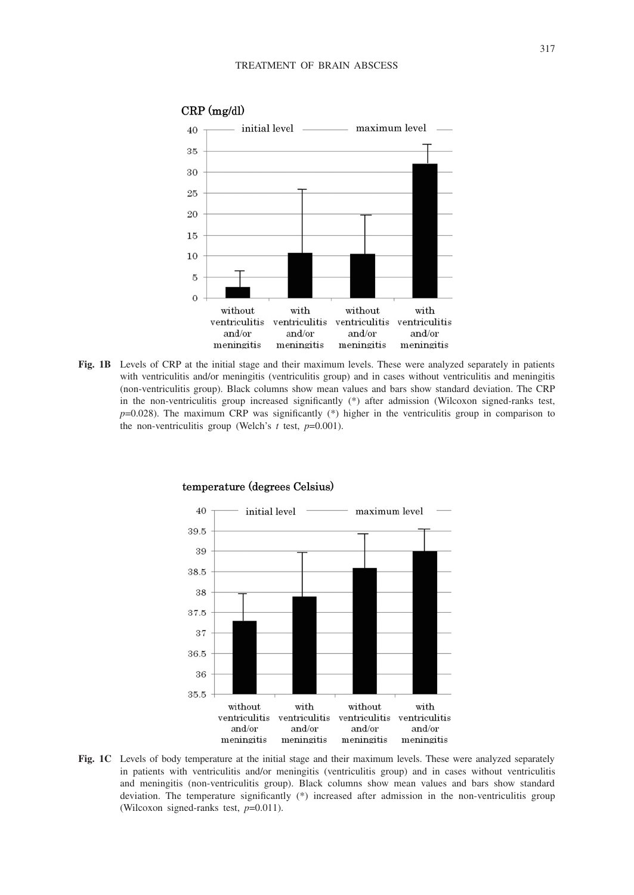

## $CRP$  (mg/dl)

**Fig. 1B** Levels of CRP at the initial stage and their maximum levels. These were analyzed separately in patients with ventriculitis and/or meningitis (ventriculitis group) and in cases without ventriculitis and meningitis (non-ventriculitis group). Black columns show mean values and bars show standard deviation. The CRP in the non-ventriculitis group increased significantly (\*) after admission (Wilcoxon signed-ranks test, *p*=0.028). The maximum CRP was significantly (\*) higher in the ventriculitis group in comparison to the non-ventriculitis group (Welch's *t* test, *p*=0.001).



#### temperature (degrees Celsius)

**Fig. 1C** Levels of body temperature at the initial stage and their maximum levels. These were analyzed separately in patients with ventriculitis and/or meningitis (ventriculitis group) and in cases without ventriculitis and meningitis (non-ventriculitis group). Black columns show mean values and bars show standard deviation. The temperature significantly (\*) increased after admission in the non-ventriculitis group (Wilcoxon signed-ranks test, *p*=0.011).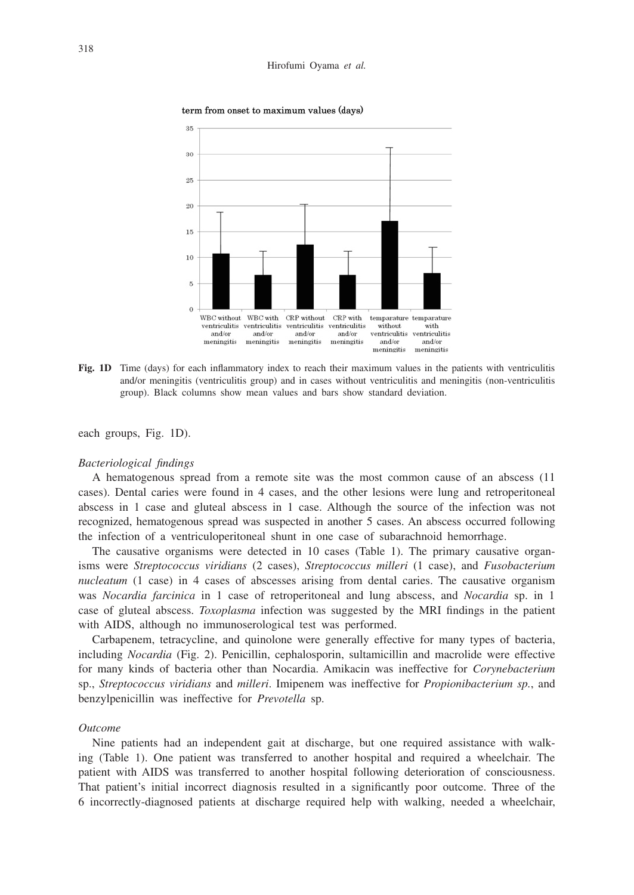

term from onset to maximum values (days)

**Fig. 1D** Time (days) for each inflammatory index to reach their maximum values in the patients with ventriculitis and/or meningitis (ventriculitis group) and in cases without ventriculitis and meningitis (non-ventriculitis group). Black columns show mean values and bars show standard deviation.

each groups, Fig. 1D).

#### *Bacteriological findings*

A hematogenous spread from a remote site was the most common cause of an abscess (11 cases). Dental caries were found in 4 cases, and the other lesions were lung and retroperitoneal abscess in 1 case and gluteal abscess in 1 case. Although the source of the infection was not recognized, hematogenous spread was suspected in another 5 cases. An abscess occurred following the infection of a ventriculoperitoneal shunt in one case of subarachnoid hemorrhage.

The causative organisms were detected in 10 cases (Table 1). The primary causative organisms were *Streptococcus viridians* (2 cases), *Streptococcus milleri* (1 case), and *Fusobacterium nucleatum* (1 case) in 4 cases of abscesses arising from dental caries. The causative organism was *Nocardia farcinica* in 1 case of retroperitoneal and lung abscess, and *Nocardia* sp. in 1 case of gluteal abscess. *Toxoplasma* infection was suggested by the MRI findings in the patient with AIDS, although no immunoserological test was performed.

Carbapenem, tetracycline, and quinolone were generally effective for many types of bacteria, including *Nocardia* (Fig. 2). Penicillin, cephalosporin, sultamicillin and macrolide were effective for many kinds of bacteria other than Nocardia. Amikacin was ineffective for *Corynebacterium* sp., *Streptococcus viridians* and *milleri*. Imipenem was ineffective for *Propionibacterium sp.*, and benzylpenicillin was ineffective for *Prevotella* sp.

## *Outcome*

Nine patients had an independent gait at discharge, but one required assistance with walking (Table 1). One patient was transferred to another hospital and required a wheelchair. The patient with AIDS was transferred to another hospital following deterioration of consciousness. That patient's initial incorrect diagnosis resulted in a significantly poor outcome. Three of the 6 incorrectly-diagnosed patients at discharge required help with walking, needed a wheelchair,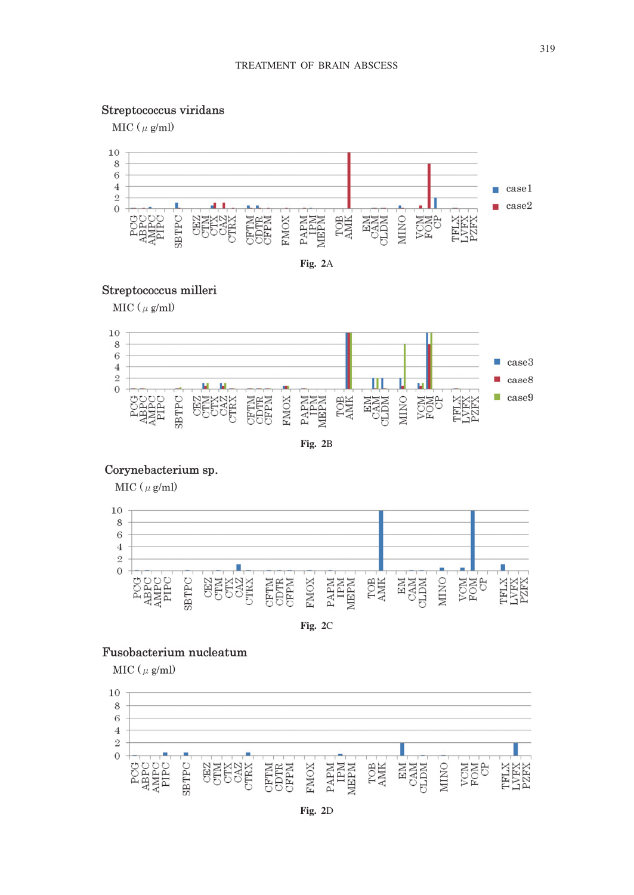# Streptococcus viridans

MIC ( $\mu$  g/ml)





# Streptococcus milleri

 $MIC ( \mu g/ml )$ 



**Fig. 2**B

## Corynebacterium sp.

MIC ( $\mu$  g/ml)



**Fig. 2**C

# Fusobacterium nucleatum

MIC ( $\mu$  g/ml)



**Fig. 2**D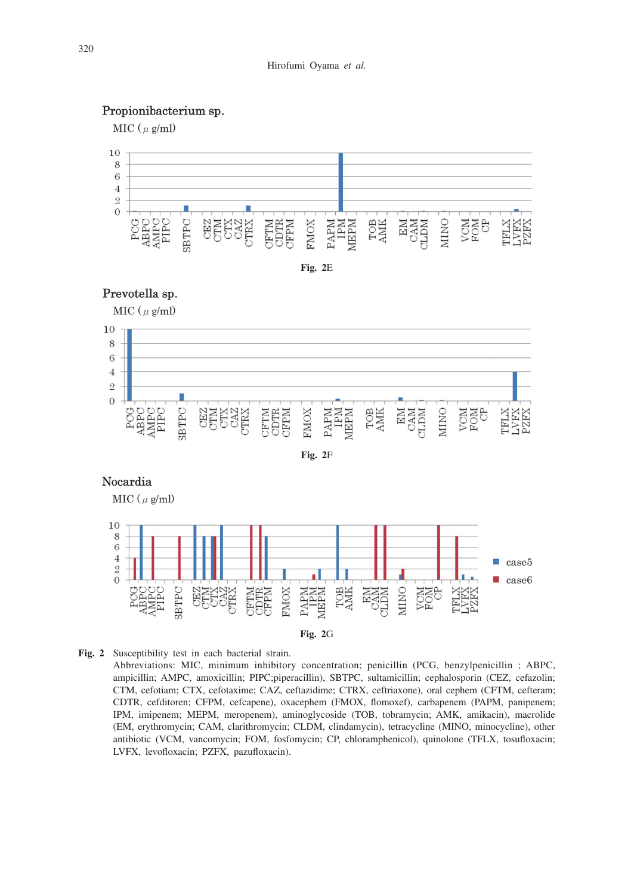# Propionibacterium sp.

MIC ( $\mu$  g/ml)



**Fig. 2**E



MIC ( $\mu$  g/ml)



**Fig. 2** Susceptibility test in each bacterial strain.

Abbreviations: MIC, minimum inhibitory concentration; penicillin (PCG, benzylpenicillin ; ABPC, ampicillin; AMPC, amoxicillin; PIPC;piperacillin), SBTPC, sultamicillin; cephalosporin (CEZ, cefazolin; CTM, cefotiam; CTX, cefotaxime; CAZ, ceftazidime; CTRX, ceftriaxone), oral cephem (CFTM, cefteram; CDTR, cefditoren; CFPM, cefcapene), oxacephem (FMOX, flomoxef), carbapenem (PAPM, panipenem; IPM, imipenem; MEPM, meropenem), aminoglycoside (TOB, tobramycin; AMK, amikacin), macrolide (EM, erythromycin; CAM, clarithromycin; CLDM, clindamycin), tetracycline (MINO, minocycline), other antibiotic (VCM, vancomycin; FOM, fosfomycin; CP, chloramphenicol), quinolone (TFLX, tosufloxacin; LVFX, levofloxacin; PZFX, pazufloxacin).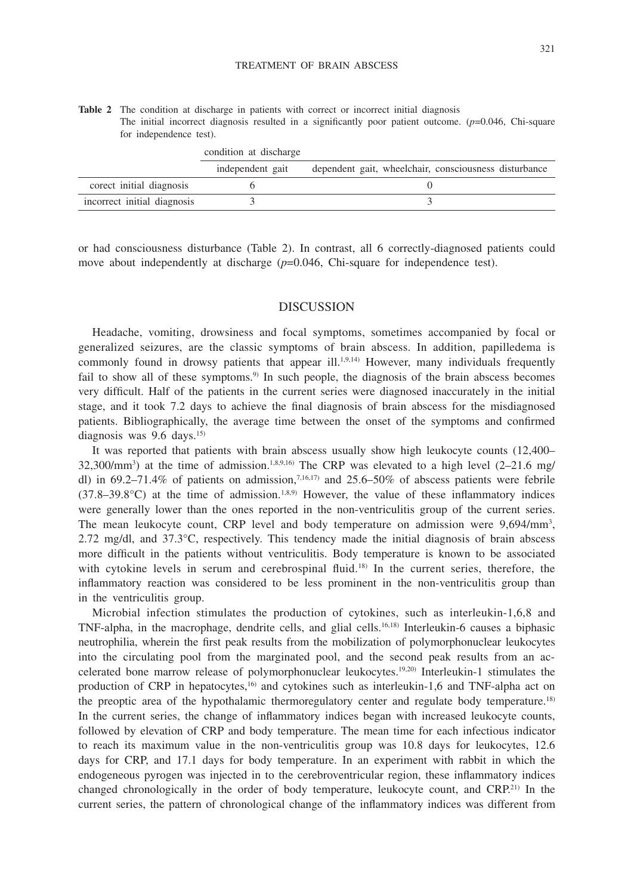**Table 2** The condition at discharge in patients with correct or incorrect initial diagnosis The initial incorrect diagnosis resulted in a significantly poor patient outcome. (*p*=0.046, Chi-square for independence test).

|                             | condition at discharge |                                                       |
|-----------------------------|------------------------|-------------------------------------------------------|
|                             | independent gait       | dependent gait, wheelchair, consciousness disturbance |
| corect initial diagnosis    |                        |                                                       |
| incorrect initial diagnosis |                        |                                                       |

or had consciousness disturbance (Table 2). In contrast, all 6 correctly-diagnosed patients could move about independently at discharge ( $p=0.046$ , Chi-square for independence test).

## DISCUSSION

Headache, vomiting, drowsiness and focal symptoms, sometimes accompanied by focal or generalized seizures, are the classic symptoms of brain abscess. In addition, papilledema is commonly found in drowsy patients that appear ill.<sup>1,9,14)</sup> However, many individuals frequently fail to show all of these symptoms.<sup>9)</sup> In such people, the diagnosis of the brain abscess becomes very difficult. Half of the patients in the current series were diagnosed inaccurately in the initial stage, and it took 7.2 days to achieve the final diagnosis of brain abscess for the misdiagnosed patients. Bibliographically, the average time between the onset of the symptoms and confirmed diagnosis was 9.6 days.15)

It was reported that patients with brain abscess usually show high leukocyte counts (12,400– 32,300/mm<sup>3</sup>) at the time of admission.<sup>1,8,9,16</sup> The CRP was elevated to a high level  $(2-21.6 \text{ mg}/$ dl) in 69.2–71.4% of patients on admission,<sup>7,16,17</sup> and 25.6–50% of abscess patients were febrile  $(37.8-39.8^{\circ}C)$  at the time of admission.<sup>1,8,9)</sup> However, the value of these inflammatory indices were generally lower than the ones reported in the non-ventriculitis group of the current series. The mean leukocyte count, CRP level and body temperature on admission were 9,694/mm<sup>3</sup>, 2.72 mg/dl, and  $37.3^{\circ}$ C, respectively. This tendency made the initial diagnosis of brain abscess more difficult in the patients without ventriculitis. Body temperature is known to be associated with cytokine levels in serum and cerebrospinal fluid.<sup>18)</sup> In the current series, therefore, the inflammatory reaction was considered to be less prominent in the non-ventriculitis group than in the ventriculitis group.

Microbial infection stimulates the production of cytokines, such as interleukin-1,6,8 and TNF-alpha, in the macrophage, dendrite cells, and glial cells.16,18) Interleukin-6 causes a biphasic neutrophilia, wherein the first peak results from the mobilization of polymorphonuclear leukocytes into the circulating pool from the marginated pool, and the second peak results from an accelerated bone marrow release of polymorphonuclear leukocytes.19,20) Interleukin-1 stimulates the production of CRP in hepatocytes,<sup>16)</sup> and cytokines such as interleukin-1,6 and TNF-alpha act on the preoptic area of the hypothalamic thermoregulatory center and regulate body temperature.<sup>18)</sup> In the current series, the change of inflammatory indices began with increased leukocyte counts, followed by elevation of CRP and body temperature. The mean time for each infectious indicator to reach its maximum value in the non-ventriculitis group was 10.8 days for leukocytes, 12.6 days for CRP, and 17.1 days for body temperature. In an experiment with rabbit in which the endogeneous pyrogen was injected in to the cerebroventricular region, these inflammatory indices changed chronologically in the order of body temperature, leukocyte count, and CRP.<sup>21)</sup> In the current series, the pattern of chronological change of the inflammatory indices was different from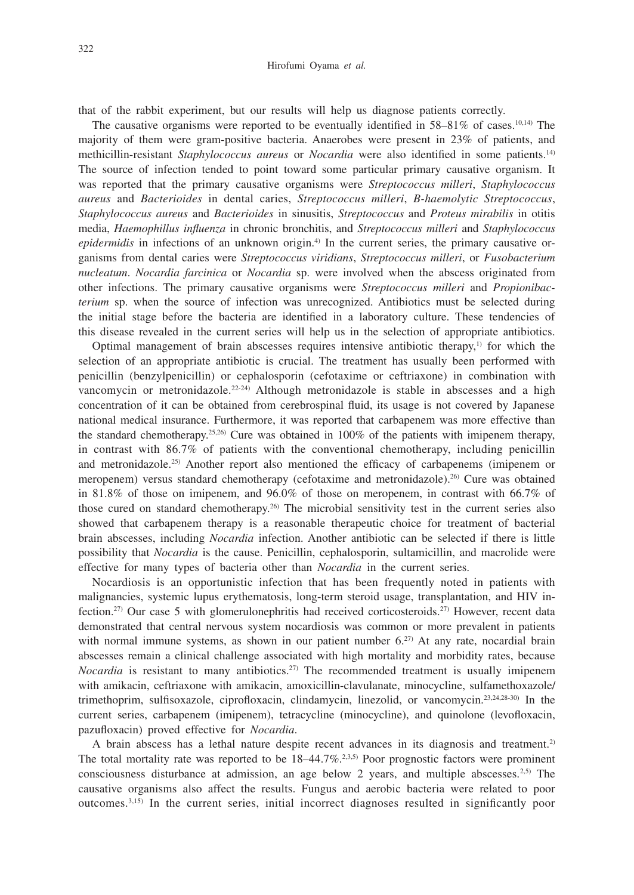#### Hirofumi Oyama *et al.*

that of the rabbit experiment, but our results will help us diagnose patients correctly.

The causative organisms were reported to be eventually identified in  $58-81\%$  of cases.<sup>10,14)</sup> The majority of them were gram-positive bacteria. Anaerobes were present in 23% of patients, and methicillin-resistant *Staphylococcus aureus* or *Nocardia* were also identified in some patients.14) The source of infection tended to point toward some particular primary causative organism. It was reported that the primary causative organisms were *Streptococcus milleri*, *Staphylococcus aureus* and *Bacterioides* in dental caries, *Streptococcus milleri*, *B-haemolytic Streptococcus*, *Staphylococcus aureus* and *Bacterioides* in sinusitis, *Streptococcus* and *Proteus mirabilis* in otitis media, *Haemophillus influenza* in chronic bronchitis, and *Streptococcus milleri* and *Staphylococcus epidermidis* in infections of an unknown origin.<sup>4)</sup> In the current series, the primary causative organisms from dental caries were *Streptococcus viridians*, *Streptococcus milleri*, or *Fusobacterium nucleatum*. *Nocardia farcinica* or *Nocardia* sp. were involved when the abscess originated from other infections. The primary causative organisms were *Streptococcus milleri* and *Propionibacterium* sp. when the source of infection was unrecognized. Antibiotics must be selected during the initial stage before the bacteria are identified in a laboratory culture. These tendencies of this disease revealed in the current series will help us in the selection of appropriate antibiotics.

Optimal management of brain abscesses requires intensive antibiotic therapy, $\mu$  for which the selection of an appropriate antibiotic is crucial. The treatment has usually been performed with penicillin (benzylpenicillin) or cephalosporin (cefotaxime or ceftriaxone) in combination with vancomycin or metronidazole.<sup>22-24)</sup> Although metronidazole is stable in abscesses and a high concentration of it can be obtained from cerebrospinal fluid, its usage is not covered by Japanese national medical insurance. Furthermore, it was reported that carbapenem was more effective than the standard chemotherapy.<sup>25,26)</sup> Cure was obtained in  $100\%$  of the patients with imipenem therapy, in contrast with 86.7% of patients with the conventional chemotherapy, including penicillin and metronidazole.25) Another report also mentioned the efficacy of carbapenems (imipenem or meropenem) versus standard chemotherapy (cefotaxime and metronidazole).26) Cure was obtained in 81.8% of those on imipenem, and 96.0% of those on meropenem, in contrast with 66.7% of those cured on standard chemotherapy.26) The microbial sensitivity test in the current series also showed that carbapenem therapy is a reasonable therapeutic choice for treatment of bacterial brain abscesses, including *Nocardia* infection. Another antibiotic can be selected if there is little possibility that *Nocardia* is the cause. Penicillin, cephalosporin, sultamicillin, and macrolide were effective for many types of bacteria other than *Nocardia* in the current series.

Nocardiosis is an opportunistic infection that has been frequently noted in patients with malignancies, systemic lupus erythematosis, long-term steroid usage, transplantation, and HIV infection.27) Our case 5 with glomerulonephritis had received corticosteroids.27) However, recent data demonstrated that central nervous system nocardiosis was common or more prevalent in patients with normal immune systems, as shown in our patient number  $6.27$  At any rate, nocardial brain abscesses remain a clinical challenge associated with high mortality and morbidity rates, because *Nocardia* is resistant to many antibiotics.<sup>27</sup> The recommended treatment is usually imipenem with amikacin, ceftriaxone with amikacin, amoxicillin-clavulanate, minocycline, sulfamethoxazole/ trimethoprim, sulfisoxazole, ciprofloxacin, clindamycin, linezolid, or vancomycin.23,24,28-30) In the current series, carbapenem (imipenem), tetracycline (minocycline), and quinolone (levofloxacin, pazufloxacin) proved effective for *Nocardia*.

A brain abscess has a lethal nature despite recent advances in its diagnosis and treatment.2) The total mortality rate was reported to be  $18-44.7\%$ .<sup>2,3,5)</sup> Poor prognostic factors were prominent consciousness disturbance at admission, an age below 2 years, and multiple abscesses.2,5) The causative organisms also affect the results. Fungus and aerobic bacteria were related to poor outcomes.3,15) In the current series, initial incorrect diagnoses resulted in significantly poor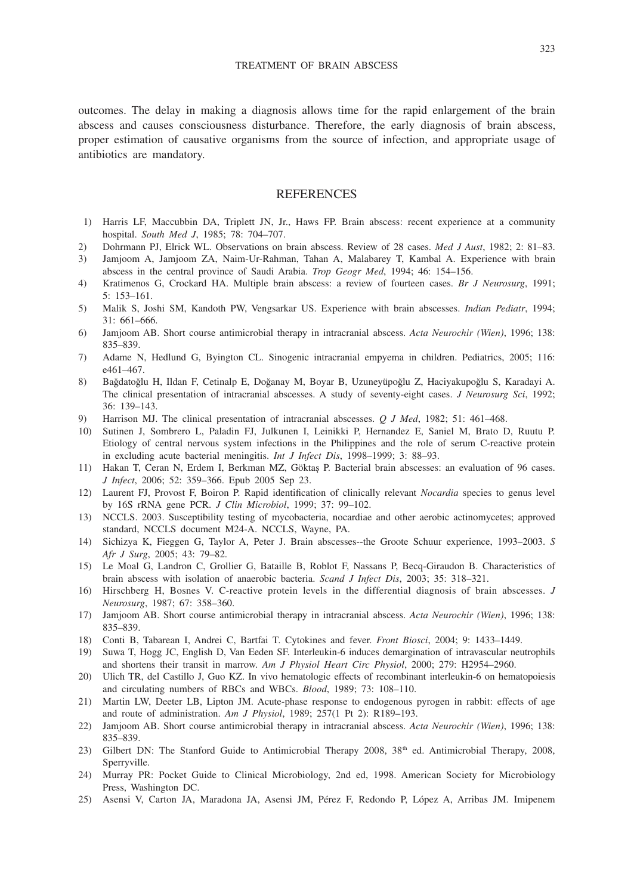outcomes. The delay in making a diagnosis allows time for the rapid enlargement of the brain abscess and causes consciousness disturbance. Therefore, the early diagnosis of brain abscess, proper estimation of causative organisms from the source of infection, and appropriate usage of antibiotics are mandatory.

## **REFERENCES**

- 1) Harris LF, Maccubbin DA, Triplett JN, Jr., Haws FP. Brain abscess: recent experience at a community hospital. *South Med J*, 1985; 78: 704–707.
- 2) Dohrmann PJ, Elrick WL. Observations on brain abscess. Review of 28 cases. *Med J Aust*, 1982; 2: 81–83.
- 3) Jamjoom A, Jamjoom ZA, Naim-Ur-Rahman, Tahan A, Malabarey T, Kambal A. Experience with brain abscess in the central province of Saudi Arabia. *Trop Geogr Med*, 1994; 46: 154–156.
- 4) Kratimenos G, Crockard HA. Multiple brain abscess: a review of fourteen cases. *Br J Neurosurg*, 1991; 5: 153–161.
- 5) Malik S, Joshi SM, Kandoth PW, Vengsarkar US. Experience with brain abscesses. *Indian Pediatr*, 1994; 31: 661–666.
- 6) Jamjoom AB. Short course antimicrobial therapy in intracranial abscess. *Acta Neurochir (Wien)*, 1996; 138: 835–839.
- 7) Adame N, Hedlund G, Byington CL. Sinogenic intracranial empyema in children. Pediatrics, 2005; 116: e461–467.
- 8) Bağdatoğlu H, Ildan F, Cetinalp E, Doğanay M, Boyar B, Uzuneyüpoğlu Z, Haciyakupoğlu S, Karadayi A. The clinical presentation of intracranial abscesses. A study of seventy-eight cases. *J Neurosurg Sci*, 1992; 36: 139–143.
- 9) Harrison MJ. The clinical presentation of intracranial abscesses. *Q J Med*, 1982; 51: 461–468.
- 10) Sutinen J, Sombrero L, Paladin FJ, Julkunen I, Leinikki P, Hernandez E, Saniel M, Brato D, Ruutu P. Etiology of central nervous system infections in the Philippines and the role of serum C-reactive protein in excluding acute bacterial meningitis. *Int J Infect Dis*, 1998–1999; 3: 88–93.
- 11) Hakan T, Ceran N, Erdem I, Berkman MZ, Göktaş P. Bacterial brain abscesses: an evaluation of 96 cases. *J Infect*, 2006; 52: 359–366. Epub 2005 Sep 23.
- 12) Laurent FJ, Provost F, Boiron P. Rapid identification of clinically relevant *Nocardia* species to genus level by 16S rRNA gene PCR. *J Clin Microbiol*, 1999; 37: 99–102.
- 13) NCCLS. 2003. Susceptibility testing of mycobacteria, nocardiae and other aerobic actinomycetes; approved standard, NCCLS document M24-A. NCCLS, Wayne, PA.
- 14) Sichizya K, Fieggen G, Taylor A, Peter J. Brain abscesses--the Groote Schuur experience, 1993–2003. *S Afr J Surg*, 2005; 43: 79–82.
- 15) Le Moal G, Landron C, Grollier G, Bataille B, Roblot F, Nassans P, Becq-Giraudon B. Characteristics of brain abscess with isolation of anaerobic bacteria. *Scand J Infect Dis*, 2003; 35: 318–321.
- 16) Hirschberg H, Bosnes V. C-reactive protein levels in the differential diagnosis of brain abscesses. *J Neurosurg*, 1987; 67: 358–360.
- 17) Jamjoom AB. Short course antimicrobial therapy in intracranial abscess. *Acta Neurochir (Wien)*, 1996; 138: 835–839.
- 18) Conti B, Tabarean I, Andrei C, Bartfai T. Cytokines and fever. *Front Biosci*, 2004; 9: 1433–1449.
- 19) Suwa T, Hogg JC, English D, Van Eeden SF. Interleukin-6 induces demargination of intravascular neutrophils and shortens their transit in marrow. *Am J Physiol Heart Circ Physiol*, 2000; 279: H2954–2960.
- 20) Ulich TR, del Castillo J, Guo KZ. In vivo hematologic effects of recombinant interleukin-6 on hematopoiesis and circulating numbers of RBCs and WBCs. *Blood*, 1989; 73: 108–110.
- 21) Martin LW, Deeter LB, Lipton JM. Acute-phase response to endogenous pyrogen in rabbit: effects of age and route of administration. *Am J Physiol*, 1989; 257(1 Pt 2): R189–193.
- 22) Jamjoom AB. Short course antimicrobial therapy in intracranial abscess. *Acta Neurochir (Wien)*, 1996; 138: 835–839.
- 23) Gilbert DN: The Stanford Guide to Antimicrobial Therapy 2008, 38<sup>th</sup> ed. Antimicrobial Therapy, 2008, Sperryville.
- 24) Murray PR: Pocket Guide to Clinical Microbiology, 2nd ed, 1998. American Society for Microbiology Press, Washington DC.
- 25) Asensi V, Carton JA, Maradona JA, Asensi JM, Pérez F, Redondo P, López A, Arribas JM. Imipenem